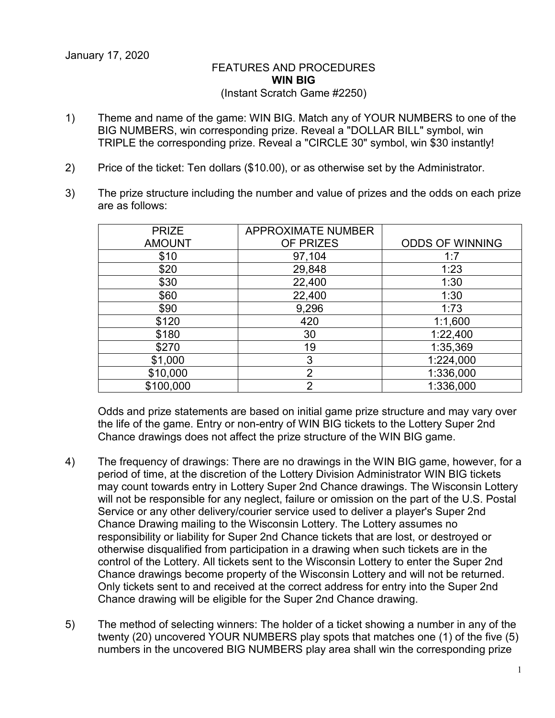## FEATURES AND PROCEDURES **WIN BIG** (Instant Scratch Game #2250)

- 1) Theme and name of the game: WIN BIG. Match any of YOUR NUMBERS to one of the BIG NUMBERS, win corresponding prize. Reveal a "DOLLAR BILL" symbol, win TRIPLE the corresponding prize. Reveal a "CIRCLE 30" symbol, win \$30 instantly!
- 2) Price of the ticket: Ten dollars (\$10.00), or as otherwise set by the Administrator.
- 3) The prize structure including the number and value of prizes and the odds on each prize are as follows:

| <b>PRIZE</b>  | <b>APPROXIMATE NUMBER</b> |                        |
|---------------|---------------------------|------------------------|
| <b>AMOUNT</b> | OF PRIZES                 | <b>ODDS OF WINNING</b> |
| \$10          | 97,104                    | 1:7                    |
| \$20          | 29,848                    | 1:23                   |
| \$30          | 22,400                    | 1:30                   |
| \$60          | 22,400                    | 1:30                   |
| \$90          | 9,296                     | 1:73                   |
| \$120         | 420                       | 1:1,600                |
| \$180         | 30                        | 1:22,400               |
| \$270         | 19                        | 1:35,369               |
| \$1,000       | 3                         | 1:224,000              |
| \$10,000      | $\overline{2}$            | 1:336,000              |
| \$100,000     | ⌒                         | 1:336,000              |

Odds and prize statements are based on initial game prize structure and may vary over the life of the game. Entry or non-entry of WIN BIG tickets to the Lottery Super 2nd Chance drawings does not affect the prize structure of the WIN BIG game.

- 4) The frequency of drawings: There are no drawings in the WIN BIG game, however, for a period of time, at the discretion of the Lottery Division Administrator WIN BIG tickets may count towards entry in Lottery Super 2nd Chance drawings. The Wisconsin Lottery will not be responsible for any neglect, failure or omission on the part of the U.S. Postal Service or any other delivery/courier service used to deliver a player's Super 2nd Chance Drawing mailing to the Wisconsin Lottery. The Lottery assumes no responsibility or liability for Super 2nd Chance tickets that are lost, or destroyed or otherwise disqualified from participation in a drawing when such tickets are in the control of the Lottery. All tickets sent to the Wisconsin Lottery to enter the Super 2nd Chance drawings become property of the Wisconsin Lottery and will not be returned. Only tickets sent to and received at the correct address for entry into the Super 2nd Chance drawing will be eligible for the Super 2nd Chance drawing.
- 5) The method of selecting winners: The holder of a ticket showing a number in any of the twenty (20) uncovered YOUR NUMBERS play spots that matches one (1) of the five (5) numbers in the uncovered BIG NUMBERS play area shall win the corresponding prize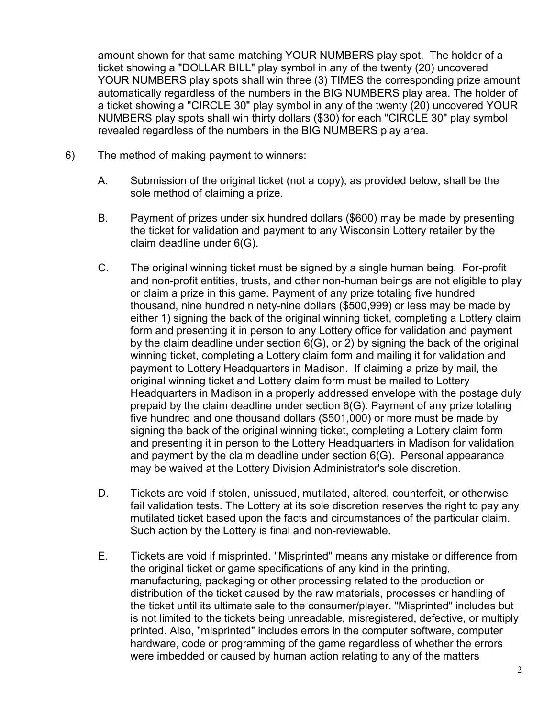amount shown for that same matching YOUR NUMBERS play spot. The holder of a ticket showing a "DOLLAR BILL" play symbol in any of the twenty (20) uncovered YOUR NUMBERS play spots shall win three (3) TIMES the corresponding prize amount automatically regardless of the numbers in the BIG NUMBERS play area. The holder of a ticket showing a "CIRCLE 30" play symbol in any of the twenty (20) uncovered YOUR NUMBERS play spots shall win thirty dollars (\$30) for each "CIRCLE 30" play symbol revealed regardless of the numbers in the BIG NUMBERS play area.

- 6) The method of making payment to winners:
	- A. Submission of the original ticket (not a copy), as provided below, shall be the sole method of claiming a prize.
	- B. Payment of prizes under six hundred dollars (\$600) may be made by presenting the ticket for validation and payment to any Wisconsin Lottery retailer by the claim deadline under 6(G).
	- C. The original winning ticket must be signed by a single human being. For-profit and non-profit entities, trusts, and other non-human beings are not eligible to play or claim a prize in this game. Payment of any prize totaling five hundred thousand, nine hundred ninety-nine dollars (\$500,999) or less may be made by either 1) signing the back of the original winning ticket, completing a Lottery claim form and presenting it in person to any Lottery office for validation and payment by the claim deadline under section 6(G), or 2) by signing the back of the original winning ticket, completing a Lottery claim form and mailing it for validation and payment to Lottery Headquarters in Madison. If claiming a prize by mail, the original winning ticket and Lottery claim form must be mailed to Lottery Headquarters in Madison in a properly addressed envelope with the postage duly prepaid by the claim deadline under section 6(G). Payment of any prize totaling five hundred and one thousand dollars (\$501,000) or more must be made by signing the back of the original winning ticket, completing a Lottery claim form and presenting it in person to the Lottery Headquarters in Madison for validation and payment by the claim deadline under section 6(G). Personal appearance may be waived at the Lottery Division Administrator's sole discretion.
	- D. Tickets are void if stolen, unissued, mutilated, altered, counterfeit, or otherwise fail validation tests. The Lottery at its sole discretion reserves the right to pay any mutilated ticket based upon the facts and circumstances of the particular claim. Such action by the Lottery is final and non-reviewable.
	- E. Tickets are void if misprinted. "Misprinted" means any mistake or difference from the original ticket or game specifications of any kind in the printing, manufacturing, packaging or other processing related to the production or distribution of the ticket caused by the raw materials, processes or handling of the ticket until its ultimate sale to the consumer/player. "Misprinted" includes but is not limited to the tickets being unreadable, misregistered, defective, or multiply printed. Also, "misprinted" includes errors in the computer software, computer hardware, code or programming of the game regardless of whether the errors were imbedded or caused by human action relating to any of the matters